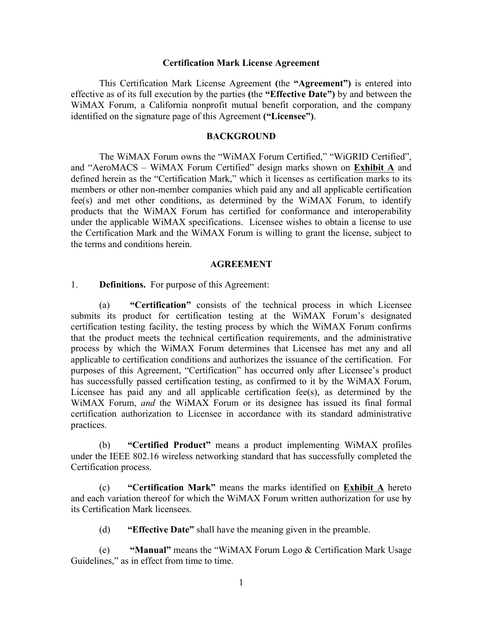#### **Certification Mark License Agreement**

This Certification Mark License Agreement **(**the **"Agreement")** is entered into effective as of its full execution by the parties **(**the **"Effective Date")** by and between the WiMAX Forum, a California nonprofit mutual benefit corporation, and the company identified on the signature page of this Agreement **("Licensee")**.

### **BACKGROUND**

The WiMAX Forum owns the "WiMAX Forum Certified," "WiGRID Certified", and "AeroMACS – WiMAX Forum Certified" design marks shown on **Exhibit A** and defined herein as the "Certification Mark," which it licenses as certification marks to its members or other non-member companies which paid any and all applicable certification fee(s) and met other conditions, as determined by the WiMAX Forum, to identify products that the WiMAX Forum has certified for conformance and interoperability under the applicable WiMAX specifications. Licensee wishes to obtain a license to use the Certification Mark and the WiMAX Forum is willing to grant the license, subject to the terms and conditions herein.

#### **AGREEMENT**

1. **Definitions.** For purpose of this Agreement:

(a) **"Certification"** consists of the technical process in which Licensee submits its product for certification testing at the WiMAX Forum's designated certification testing facility, the testing process by which the WiMAX Forum confirms that the product meets the technical certification requirements, and the administrative process by which the WiMAX Forum determines that Licensee has met any and all applicable to certification conditions and authorizes the issuance of the certification. For purposes of this Agreement, "Certification" has occurred only after Licensee's product has successfully passed certification testing, as confirmed to it by the WiMAX Forum, Licensee has paid any and all applicable certification fee(s), as determined by the WiMAX Forum, *and* the WiMAX Forum or its designee has issued its final formal certification authorization to Licensee in accordance with its standard administrative practices.

(b) **"Certified Product"** means a product implementing WiMAX profiles under the IEEE 802.16 wireless networking standard that has successfully completed the Certification process.

(c) **"Certification Mark"** means the marks identified on **Exhibit A** hereto and each variation thereof for which the WiMAX Forum written authorization for use by its Certification Mark licensees.

(d) **"Effective Date"** shall have the meaning given in the preamble.

(e) **"Manual"** means the "WiMAX Forum Logo & Certification Mark Usage Guidelines," as in effect from time to time.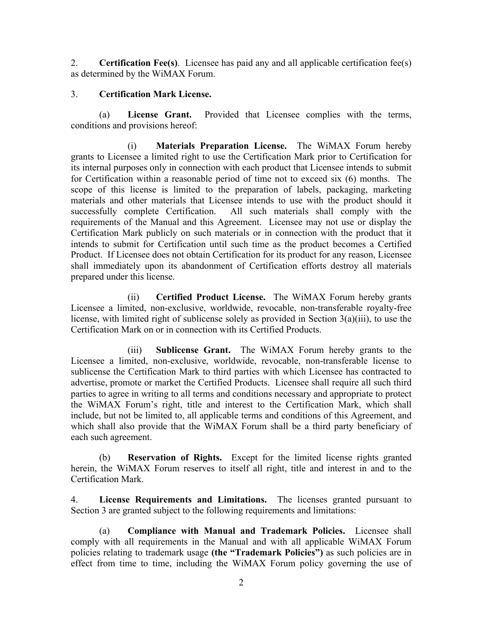2. **Certification Fee(s)**. Licensee has paid any and all applicable certification fee(s) as determined by the WiMAX Forum.

#### 3. **Certification Mark License.**

(a) **License Grant.** Provided that Licensee complies with the terms, conditions and provisions hereof:

(i) **Materials Preparation License.** The WiMAX Forum hereby grants to Licensee a limited right to use the Certification Mark prior to Certification for its internal purposes only in connection with each product that Licensee intends to submit for Certification within a reasonable period of time not to exceed six (6) months. The scope of this license is limited to the preparation of labels, packaging, marketing materials and other materials that Licensee intends to use with the product should it successfully complete Certification. All such materials shall comply with the requirements of the Manual and this Agreement. Licensee may not use or display the Certification Mark publicly on such materials or in connection with the product that it intends to submit for Certification until such time as the product becomes a Certified Product. If Licensee does not obtain Certification for its product for any reason, Licensee shall immediately upon its abandonment of Certification efforts destroy all materials prepared under this license.

(ii) **Certified Product License.** The WiMAX Forum hereby grants Licensee a limited, non-exclusive, worldwide, revocable, non-transferable royalty-free license, with limited right of sublicense solely as provided in Section 3(a)(iii), to use the Certification Mark on or in connection with its Certified Products.

(iii) **Sublicense Grant.** The WiMAX Forum hereby grants to the Licensee a limited, non-exclusive, worldwide, revocable, non-transferable license to sublicense the Certification Mark to third parties with which Licensee has contracted to advertise, promote or market the Certified Products. Licensee shall require all such third parties to agree in writing to all terms and conditions necessary and appropriate to protect the WiMAX Forum's right, title and interest to the Certification Mark, which shall include, but not be limited to, all applicable terms and conditions of this Agreement, and which shall also provide that the WiMAX Forum shall be a third party beneficiary of each such agreement.

(b) **Reservation of Rights.** Except for the limited license rights granted herein, the WiMAX Forum reserves to itself all right, title and interest in and to the Certification Mark.

4. **License Requirements and Limitations.** The licenses granted pursuant to Section 3 are granted subject to the following requirements and limitations:

(a) **Compliance with Manual and Trademark Policies.** Licensee shall comply with all requirements in the Manual and with all applicable WiMAX Forum policies relating to trademark usage **(the "Trademark Policies")** as such policies are in effect from time to time, including the WiMAX Forum policy governing the use of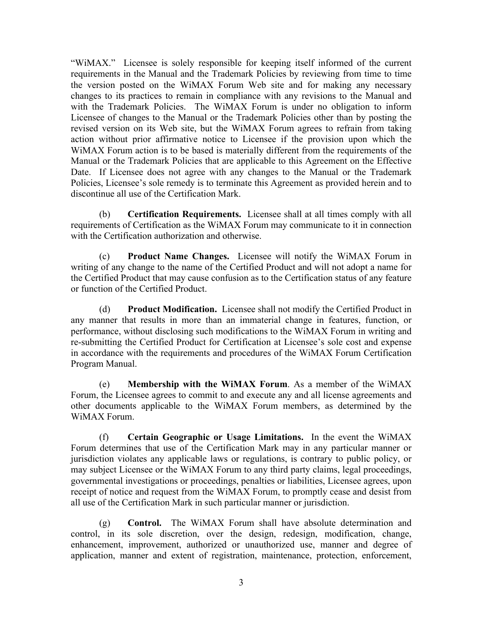"WiMAX." Licensee is solely responsible for keeping itself informed of the current requirements in the Manual and the Trademark Policies by reviewing from time to time the version posted on the WiMAX Forum Web site and for making any necessary changes to its practices to remain in compliance with any revisions to the Manual and with the Trademark Policies. The WiMAX Forum is under no obligation to inform Licensee of changes to the Manual or the Trademark Policies other than by posting the revised version on its Web site, but the WiMAX Forum agrees to refrain from taking action without prior affirmative notice to Licensee if the provision upon which the WiMAX Forum action is to be based is materially different from the requirements of the Manual or the Trademark Policies that are applicable to this Agreement on the Effective Date. If Licensee does not agree with any changes to the Manual or the Trademark Policies, Licensee's sole remedy is to terminate this Agreement as provided herein and to discontinue all use of the Certification Mark.

(b) **Certification Requirements.** Licensee shall at all times comply with all requirements of Certification as the WiMAX Forum may communicate to it in connection with the Certification authorization and otherwise

(c) **Product Name Changes.** Licensee will notify the WiMAX Forum in writing of any change to the name of the Certified Product and will not adopt a name for the Certified Product that may cause confusion as to the Certification status of any feature or function of the Certified Product.

(d) **Product Modification.** Licensee shall not modify the Certified Product in any manner that results in more than an immaterial change in features, function, or performance, without disclosing such modifications to the WiMAX Forum in writing and re-submitting the Certified Product for Certification at Licensee's sole cost and expense in accordance with the requirements and procedures of the WiMAX Forum Certification Program Manual.

(e) **Membership with the WiMAX Forum**. As a member of the WiMAX Forum, the Licensee agrees to commit to and execute any and all license agreements and other documents applicable to the WiMAX Forum members, as determined by the WiMAX Forum.

(f) **Certain Geographic or Usage Limitations.** In the event the WiMAX Forum determines that use of the Certification Mark may in any particular manner or jurisdiction violates any applicable laws or regulations, is contrary to public policy, or may subject Licensee or the WiMAX Forum to any third party claims, legal proceedings, governmental investigations or proceedings, penalties or liabilities, Licensee agrees, upon receipt of notice and request from the WiMAX Forum, to promptly cease and desist from all use of the Certification Mark in such particular manner or jurisdiction.

(g) **Control.** The WiMAX Forum shall have absolute determination and control, in its sole discretion, over the design, redesign, modification, change, enhancement, improvement, authorized or unauthorized use, manner and degree of application, manner and extent of registration, maintenance, protection, enforcement,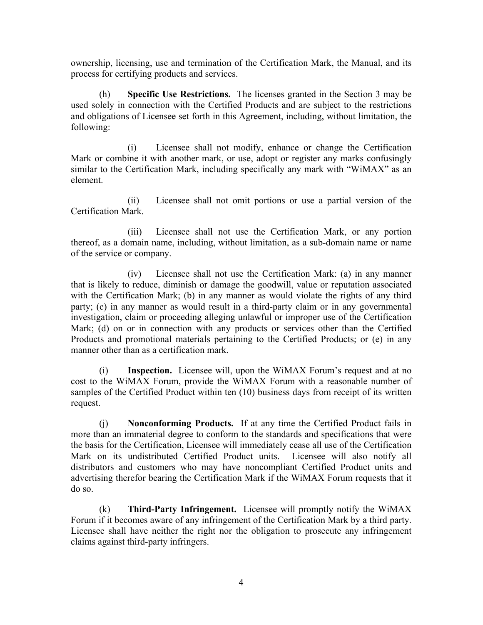ownership, licensing, use and termination of the Certification Mark, the Manual, and its process for certifying products and services.

(h) **Specific Use Restrictions.** The licenses granted in the Section 3 may be used solely in connection with the Certified Products and are subject to the restrictions and obligations of Licensee set forth in this Agreement, including, without limitation, the following:

(i) Licensee shall not modify, enhance or change the Certification Mark or combine it with another mark, or use, adopt or register any marks confusingly similar to the Certification Mark, including specifically any mark with "WiMAX" as an element.

(ii) Licensee shall not omit portions or use a partial version of the Certification Mark.

(iii) Licensee shall not use the Certification Mark, or any portion thereof, as a domain name, including, without limitation, as a sub-domain name or name of the service or company.

(iv) Licensee shall not use the Certification Mark: (a) in any manner that is likely to reduce, diminish or damage the goodwill, value or reputation associated with the Certification Mark; (b) in any manner as would violate the rights of any third party; (c) in any manner as would result in a third-party claim or in any governmental investigation, claim or proceeding alleging unlawful or improper use of the Certification Mark; (d) on or in connection with any products or services other than the Certified Products and promotional materials pertaining to the Certified Products; or (e) in any manner other than as a certification mark.

(i) **Inspection.** Licensee will, upon the WiMAX Forum's request and at no cost to the WiMAX Forum, provide the WiMAX Forum with a reasonable number of samples of the Certified Product within ten (10) business days from receipt of its written request.

(j) **Nonconforming Products.** If at any time the Certified Product fails in more than an immaterial degree to conform to the standards and specifications that were the basis for the Certification, Licensee will immediately cease all use of the Certification Mark on its undistributed Certified Product units. Licensee will also notify all distributors and customers who may have noncompliant Certified Product units and advertising therefor bearing the Certification Mark if the WiMAX Forum requests that it do so.

(k) **Third-Party Infringement.** Licensee will promptly notify the WiMAX Forum if it becomes aware of any infringement of the Certification Mark by a third party. Licensee shall have neither the right nor the obligation to prosecute any infringement claims against third-party infringers.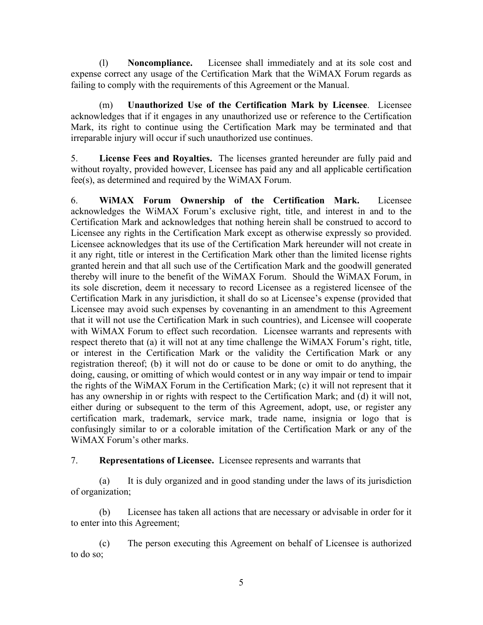(l) **Noncompliance.** Licensee shall immediately and at its sole cost and expense correct any usage of the Certification Mark that the WiMAX Forum regards as failing to comply with the requirements of this Agreement or the Manual.

(m) **Unauthorized Use of the Certification Mark by Licensee**. Licensee acknowledges that if it engages in any unauthorized use or reference to the Certification Mark, its right to continue using the Certification Mark may be terminated and that irreparable injury will occur if such unauthorized use continues.

5. **License Fees and Royalties.** The licenses granted hereunder are fully paid and without royalty, provided however, Licensee has paid any and all applicable certification fee(s), as determined and required by the WiMAX Forum.

6. **WiMAX Forum Ownership of the Certification Mark.** Licensee acknowledges the WiMAX Forum's exclusive right, title, and interest in and to the Certification Mark and acknowledges that nothing herein shall be construed to accord to Licensee any rights in the Certification Mark except as otherwise expressly so provided. Licensee acknowledges that its use of the Certification Mark hereunder will not create in it any right, title or interest in the Certification Mark other than the limited license rights granted herein and that all such use of the Certification Mark and the goodwill generated thereby will inure to the benefit of the WiMAX Forum. Should the WiMAX Forum, in its sole discretion, deem it necessary to record Licensee as a registered licensee of the Certification Mark in any jurisdiction, it shall do so at Licensee's expense (provided that Licensee may avoid such expenses by covenanting in an amendment to this Agreement that it will not use the Certification Mark in such countries), and Licensee will cooperate with WiMAX Forum to effect such recordation. Licensee warrants and represents with respect thereto that (a) it will not at any time challenge the WiMAX Forum's right, title, or interest in the Certification Mark or the validity the Certification Mark or any registration thereof; (b) it will not do or cause to be done or omit to do anything, the doing, causing, or omitting of which would contest or in any way impair or tend to impair the rights of the WiMAX Forum in the Certification Mark; (c) it will not represent that it has any ownership in or rights with respect to the Certification Mark; and (d) it will not, either during or subsequent to the term of this Agreement, adopt, use, or register any certification mark, trademark, service mark, trade name, insignia or logo that is confusingly similar to or a colorable imitation of the Certification Mark or any of the WiMAX Forum's other marks.

7. **Representations of Licensee.** Licensee represents and warrants that

(a) It is duly organized and in good standing under the laws of its jurisdiction of organization;

(b) Licensee has taken all actions that are necessary or advisable in order for it to enter into this Agreement;

(c) The person executing this Agreement on behalf of Licensee is authorized to do so;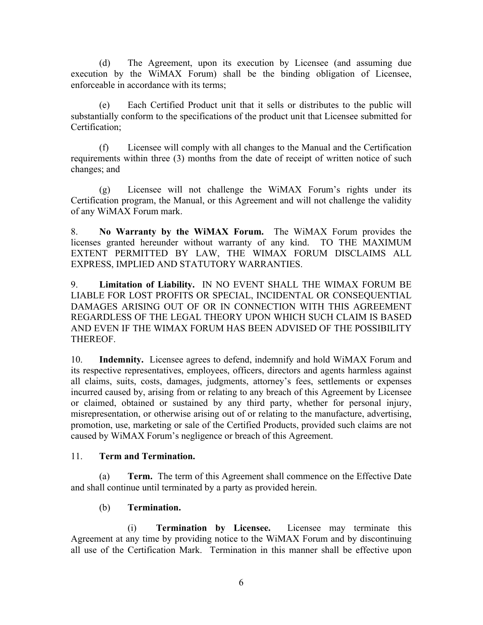(d) The Agreement, upon its execution by Licensee (and assuming due execution by the WiMAX Forum) shall be the binding obligation of Licensee, enforceable in accordance with its terms;

(e) Each Certified Product unit that it sells or distributes to the public will substantially conform to the specifications of the product unit that Licensee submitted for Certification;

(f) Licensee will comply with all changes to the Manual and the Certification requirements within three (3) months from the date of receipt of written notice of such changes; and

(g) Licensee will not challenge the WiMAX Forum's rights under its Certification program, the Manual, or this Agreement and will not challenge the validity of any WiMAX Forum mark.

8. **No Warranty by the WiMAX Forum.** The WiMAX Forum provides the licenses granted hereunder without warranty of any kind. TO THE MAXIMUM EXTENT PERMITTED BY LAW, THE WIMAX FORUM DISCLAIMS ALL EXPRESS, IMPLIED AND STATUTORY WARRANTIES.

9. **Limitation of Liability.** IN NO EVENT SHALL THE WIMAX FORUM BE LIABLE FOR LOST PROFITS OR SPECIAL, INCIDENTAL OR CONSEQUENTIAL DAMAGES ARISING OUT OF OR IN CONNECTION WITH THIS AGREEMENT REGARDLESS OF THE LEGAL THEORY UPON WHICH SUCH CLAIM IS BASED AND EVEN IF THE WIMAX FORUM HAS BEEN ADVISED OF THE POSSIBILITY THEREOF.

10. **Indemnity.** Licensee agrees to defend, indemnify and hold WiMAX Forum and its respective representatives, employees, officers, directors and agents harmless against all claims, suits, costs, damages, judgments, attorney's fees, settlements or expenses incurred caused by, arising from or relating to any breach of this Agreement by Licensee or claimed, obtained or sustained by any third party, whether for personal injury, misrepresentation, or otherwise arising out of or relating to the manufacture, advertising, promotion, use, marketing or sale of the Certified Products, provided such claims are not caused by WiMAX Forum's negligence or breach of this Agreement.

#### 11. **Term and Termination.**

(a) **Term.** The term of this Agreement shall commence on the Effective Date and shall continue until terminated by a party as provided herein.

## (b) **Termination.**

(i) **Termination by Licensee.** Licensee may terminate this Agreement at any time by providing notice to the WiMAX Forum and by discontinuing all use of the Certification Mark. Termination in this manner shall be effective upon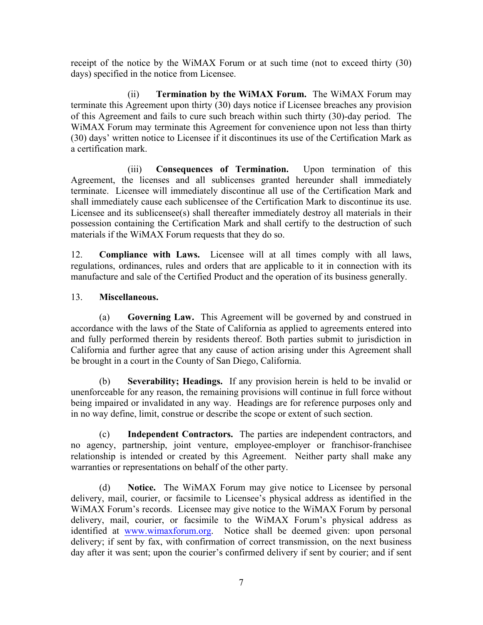receipt of the notice by the WiMAX Forum or at such time (not to exceed thirty (30) days) specified in the notice from Licensee.

(ii) **Termination by the WiMAX Forum.** The WiMAX Forum may terminate this Agreement upon thirty (30) days notice if Licensee breaches any provision of this Agreement and fails to cure such breach within such thirty (30)-day period. The WiMAX Forum may terminate this Agreement for convenience upon not less than thirty (30) days' written notice to Licensee if it discontinues its use of the Certification Mark as a certification mark.

(iii) **Consequences of Termination.** Upon termination of this Agreement, the licenses and all sublicenses granted hereunder shall immediately terminate. Licensee will immediately discontinue all use of the Certification Mark and shall immediately cause each sublicensee of the Certification Mark to discontinue its use. Licensee and its sublicensee(s) shall thereafter immediately destroy all materials in their possession containing the Certification Mark and shall certify to the destruction of such materials if the WiMAX Forum requests that they do so.

12. **Compliance with Laws.** Licensee will at all times comply with all laws, regulations, ordinances, rules and orders that are applicable to it in connection with its manufacture and sale of the Certified Product and the operation of its business generally.

### 13. **Miscellaneous.**

(a) **Governing Law.** This Agreement will be governed by and construed in accordance with the laws of the State of California as applied to agreements entered into and fully performed therein by residents thereof. Both parties submit to jurisdiction in California and further agree that any cause of action arising under this Agreement shall be brought in a court in the County of San Diego, California.

(b) **Severability; Headings.** If any provision herein is held to be invalid or unenforceable for any reason, the remaining provisions will continue in full force without being impaired or invalidated in any way. Headings are for reference purposes only and in no way define, limit, construe or describe the scope or extent of such section.

(c) **Independent Contractors.** The parties are independent contractors, and no agency, partnership, joint venture, employee-employer or franchisor-franchisee relationship is intended or created by this Agreement. Neither party shall make any warranties or representations on behalf of the other party.

(d) **Notice.** The WiMAX Forum may give notice to Licensee by personal delivery, mail, courier, or facsimile to Licensee's physical address as identified in the WiMAX Forum's records. Licensee may give notice to the WiMAX Forum by personal delivery, mail, courier, or facsimile to the WiMAX Forum's physical address as identified at www.wimaxforum.org. Notice shall be deemed given: upon personal delivery; if sent by fax, with confirmation of correct transmission, on the next business day after it was sent; upon the courier's confirmed delivery if sent by courier; and if sent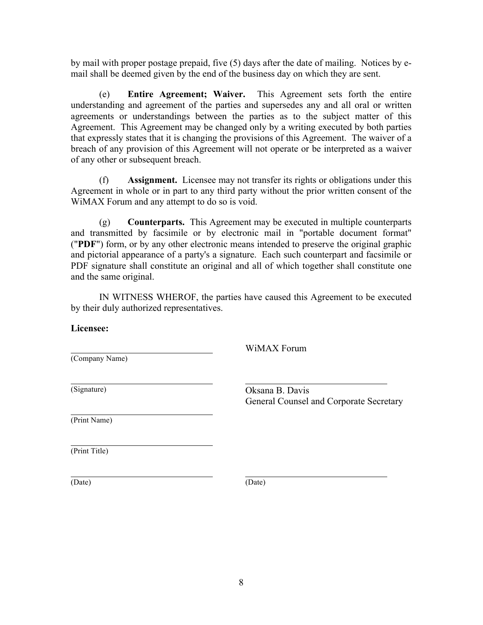by mail with proper postage prepaid, five (5) days after the date of mailing. Notices by email shall be deemed given by the end of the business day on which they are sent.

(e) **Entire Agreement; Waiver.** This Agreement sets forth the entire understanding and agreement of the parties and supersedes any and all oral or written agreements or understandings between the parties as to the subject matter of this Agreement. This Agreement may be changed only by a writing executed by both parties that expressly states that it is changing the provisions of this Agreement. The waiver of a breach of any provision of this Agreement will not operate or be interpreted as a waiver of any other or subsequent breach.

(f) **Assignment.** Licensee may not transfer its rights or obligations under this Agreement in whole or in part to any third party without the prior written consent of the WiMAX Forum and any attempt to do so is void.

(g) **Counterparts.** This Agreement may be executed in multiple counterparts and transmitted by facsimile or by electronic mail in "portable document format" ("**PDF**") form, or by any other electronic means intended to preserve the original graphic and pictorial appearance of a party's a signature. Each such counterpart and facsimile or PDF signature shall constitute an original and all of which together shall constitute one and the same original.

IN WITNESS WHEROF, the parties have caused this Agreement to be executed by their duly authorized representatives.

**Licensee:**

(Company Name)

WiMAX Forum

(Signature)

Oksana B. Davis General Counsel and Corporate Secretary

(Print Name)

(Print Title)

(Date)

(Date)